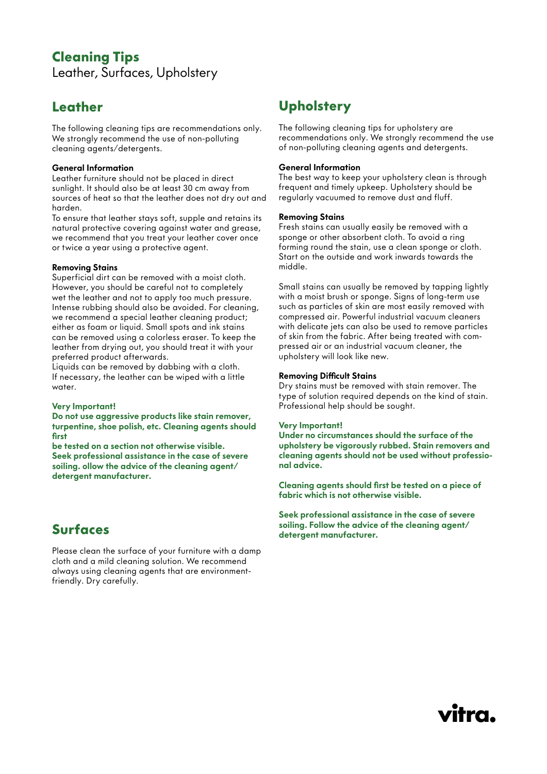## **Cleaning Tips**  Leather, Surfaces, Upholstery

# **Leather**

The following cleaning tips are recommendations only. We strongly recommend the use of non-polluting cleaning agents/detergents.

#### General Information

Leather furniture should not be placed in direct sunlight. It should also be at least 30 cm away from sources of heat so that the leather does not dry out and harden.

To ensure that leather stays soft, supple and retains its natural protective covering against water and grease, we recommend that you treat your leather cover once or twice a year using a protective agent.

#### Removing Stains

Superficial dirt can be removed with a moist cloth. However, you should be careful not to completely wet the leather and not to apply too much pressure. Intense rubbing should also be avoided. For cleaning, we recommend a special leather cleaning product; either as foam or liquid. Small spots and ink stains can be removed using a colorless eraser. To keep the leather from drying out, you should treat it with your preferred product afterwards.

Liquids can be removed by dabbing with a cloth. If necessary, the leather can be wiped with a little water.

#### Very Important!

Do not use aggressive products like stain remover, turpentine, shoe polish, etc. Cleaning agents should first

be tested on a section not otherwise visible. Seek professional assistance in the case of severe soiling. ollow the advice of the cleaning agent/ detergent manufacturer.

# **Surfaces**

Please clean the surface of your furniture with a damp cloth and a mild cleaning solution. We recommend always using cleaning agents that are environmentfriendly. Dry carefully.

# **Upholstery**

The following cleaning tips for upholstery are recommendations only. We strongly recommend the use of non-polluting cleaning agents and detergents.

#### General Information

The best way to keep your upholstery clean is through frequent and timely upkeep. Upholstery should be regularly vacuumed to remove dust and fluff.

#### Removing Stains

Fresh stains can usually easily be removed with a sponge or other absorbent cloth. To avoid a ring forming round the stain, use a clean sponge or cloth. Start on the outside and work inwards towards the middle.

Small stains can usually be removed by tapping lightly with a moist brush or sponge. Signs of long-term use such as particles of skin are most easily removed with compressed air. Powerful industrial vacuum cleaners with delicate jets can also be used to remove particles of skin from the fabric. After being treated with compressed air or an industrial vacuum cleaner, the upholstery will look like new.

#### Removing Difficult Stains

Dry stains must be removed with stain remover. The type of solution required depends on the kind of stain. Professional help should be sought.

#### Very Important!

Under no circumstances should the surface of the upholstery be vigorously rubbed. Stain removers and cleaning agents should not be used without professional advice.

Cleaning agents should first be tested on a piece of fabric which is not otherwise visible.

Seek professional assistance in the case of severe soiling. Follow the advice of the cleaning agent/ detergent manufacturer.

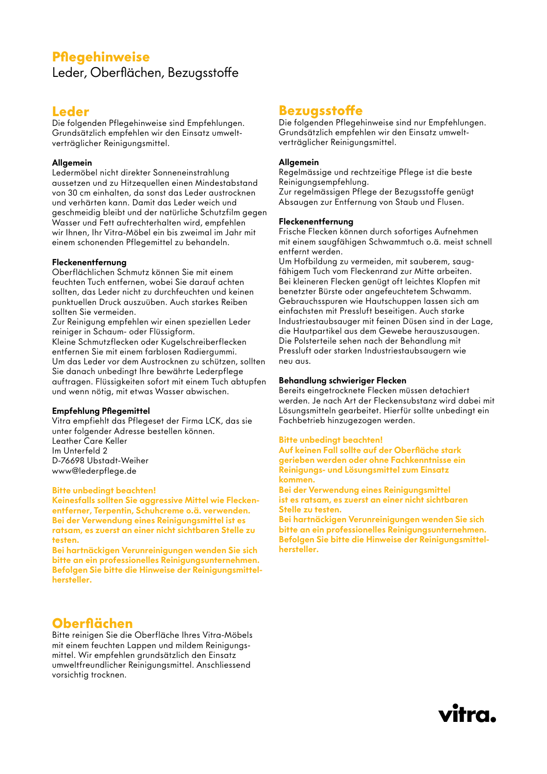### **Pflegehinweise** Leder, Oberflächen, Bezugsstoffe

### **Leder**

Die folgenden Pflegehinweise sind Empfehlungen. Grundsätzlich empfehlen wir den Einsatz umweltverträglicher Reinigungsmittel.

#### Allgemein

Ledermöbel nicht direkter Sonneneinstrahlung aussetzen und zu Hitzequellen einen Mindestabstand von 30 cm einhalten, da sonst das Leder austrocknen und verhärten kann. Damit das Leder weich und geschmeidig bleibt und der natürliche Schutzfilm gegen Wasser und Fett aufrechterhalten wird, empfehlen wir Ihnen, Ihr Vitra-Möbel ein bis zweimal im Jahr mit einem schonenden Pflegemittel zu behandeln.

#### Fleckenentfernung

Oberflächlichen Schmutz können Sie mit einem feuchten Tuch entfernen, wobei Sie darauf achten sollten, das Leder nicht zu durchfeuchten und keinen punktuellen Druck auszuüben. Auch starkes Reiben sollten Sie vermeiden.

Zur Reinigung empfehlen wir einen speziellen Leder reiniger in Schaum- oder Flüssigform.

Kleine Schmutzflecken oder Kugelschreiberflecken entfernen Sie mit einem farblosen Radiergummi. Um das Leder vor dem Austrocknen zu schützen, sollten Sie danach unbedingt Ihre bewährte Lederpflege auftragen. Flüssigkeiten sofort mit einem Tuch abtupfen und wenn nötig, mit etwas Wasser abwischen.

#### Empfehlung Pflegemittel

Vitra empfiehlt das Pflegeset der Firma LCK, das sie unter folgender Adresse bestellen können. Leather Care Keller Im Unterfeld 2 D-76698 Ubstadt-Weiher www@lederpflege.de

#### Bitte unbedingt beachten!

Keinesfalls sollten Sie aggressive Mittel wie Fleckenentferner, Terpentin, Schuhcreme o.ä. verwenden. Bei der Verwendung eines Reinigungsmittel ist es ratsam, es zuerst an einer nicht sichtbaren Stelle zu testen.

Bei hartnäckigen Verunreinigungen wenden Sie sich bitte an ein professionelles Reinigungsunternehmen. Befolgen Sie bitte die Hinweise der Reinigungsmittelhersteller.

## **Oberflächen**

Bitte reinigen Sie die Oberfläche Ihres Vitra-Möbels mit einem feuchten Lappen und mildem Reinigungsmittel. Wir empfehlen grundsätzlich den Einsatz umweltfreundlicher Reinigungsmittel. Anschliessend vorsichtig trocknen.

## **Bezugsstoffe**

Die folgenden Pflegehinweise sind nur Empfehlungen. Grundsätzlich empfehlen wir den Einsatz umweltverträglicher Reinigungsmittel.

#### Allgemein

Regelmässige und rechtzeitige Pflege ist die beste Reinigungsempfehlung. Zur regelmässigen Pflege der Bezugsstoffe genügt Absaugen zur Entfernung von Staub und Flusen.

#### Fleckenentfernung

Frische Flecken können durch sofortiges Aufnehmen mit einem saugfähigen Schwammtuch o.ä. meist schnell entfernt werden.

Um Hofbildung zu vermeiden, mit sauberem, saugfähigem Tuch vom Fleckenrand zur Mitte arbeiten. Bei kleineren Flecken genügt oft leichtes Klopfen mit benetzter Bürste oder angefeuchtetem Schwamm. Gebrauchsspuren wie Hautschuppen lassen sich am einfachsten mit Pressluft beseitigen. Auch starke Industriestaubsauger mit feinen Düsen sind in der Lage, die Hautpartikel aus dem Gewebe herauszusaugen. Die Polsterteile sehen nach der Behandlung mit Pressluft oder starken Industriestaubsaugern wie neu aus.

#### Behandlung schwieriger Flecken

Bereits eingetrocknete Flecken müssen detachiert werden. Je nach Art der Fleckensubstanz wird dabei mit Lösungsmitteln gearbeitet. Hierfür sollte unbedingt ein Fachbetrieb hinzugezogen werden.

#### Bitte unbedingt beachten!

Auf keinen Fall sollte auf der Oberfläche stark gerieben werden oder ohne Fachkenntnisse ein Reinigungs- und Lösungsmittel zum Einsatz kommen.

Bei der Verwendung eines Reinigungsmittel ist es ratsam, es zuerst an einer nicht sichtbaren Stelle zu testen.

Bei hartnäckigen Verunreinigungen wenden Sie sich bitte an ein professionelles Reinigungsunternehmen. Befolgen Sie bitte die Hinweise der Reinigungsmittelhersteller.

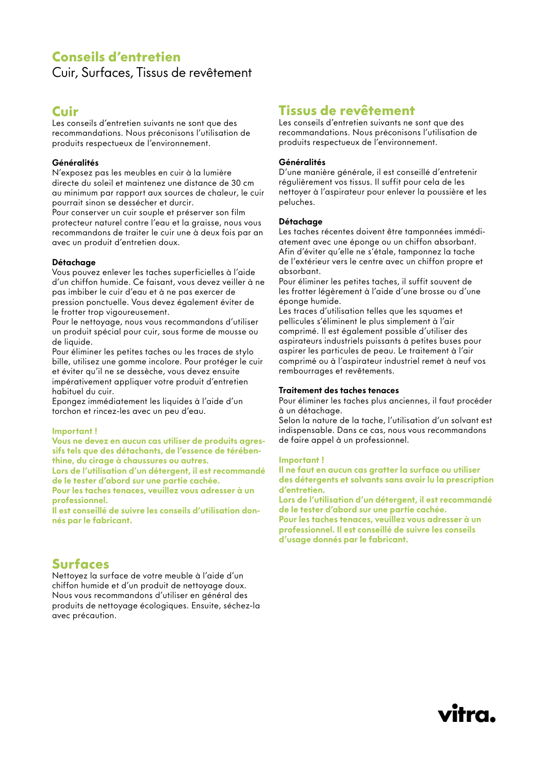### **Conseils d'entretien**  Cuir, Surfaces, Tissus de revêtement

# **Cuir**

Les conseils d'entretien suivants ne sont que des recommandations. Nous préconisons l'utilisation de produits respectueux de l'environnement.

#### Généralités

N'exposez pas les meubles en cuir à la lumière directe du soleil et maintenez une distance de 30 cm au minimum par rapport aux sources de chaleur, le cuir pourrait sinon se dessécher et durcir.

Pour conserver un cuir souple et préserver son film protecteur naturel contre l'eau et la graisse, nous vous recommandons de traiter le cuir une à deux fois par an avec un produit d'entretien doux.

#### Détachage

Vous pouvez enlever les taches superficielles à l'aide d'un chiffon humide. Ce faisant, vous devez veiller à ne pas imbiber le cuir d'eau et à ne pas exercer de pression ponctuelle. Vous devez également éviter de le frotter trop vigoureusement.

Pour le nettoyage, nous vous recommandons d'utiliser un produit spécial pour cuir, sous forme de mousse ou de liquide.

Pour éliminer les petites taches ou les traces de stylo bille, utilisez une gomme incolore. Pour protéger le cuir et éviter qu'il ne se dessèche, vous devez ensuite impérativement appliquer votre produit d'entretien habituel du cuir.

Epongez immédiatement les liquides à l'aide d'un torchon et rincez-les avec un peu d'eau.

#### Important !

Vous ne devez en aucun cas utiliser de produits agressifs tels que des détachants, de l'essence de térébenthine, du cirage à chaussures ou autres.

Lors de l'utilisation d'un détergent, il est recommandé de le tester d'abord sur une partie cachée.

Pour les taches tenaces, veuillez vous adresser à un professionnel.

Il est conseillé de suivre les conseils d'utilisation donnés par le fabricant.

## **Surfaces**

Nettoyez la surface de votre meuble à l'aide d'un chiffon humide et d'un produit de nettoyage doux. Nous vous recommandons d'utiliser en général des produits de nettoyage écologiques. Ensuite, séchez-la avec précaution.

# **Tissus de revêtement**

Les conseils d'entretien suivants ne sont que des recommandations. Nous préconisons l'utilisation de produits respectueux de l'environnement.

#### Généralités

D'une manière générale, il est conseillé d'entretenir régulièrement vos tissus. Il suffit pour cela de les nettoyer à l'aspirateur pour enlever la poussière et les peluches.

#### **Détachage**

Les taches récentes doivent être tamponnées immédiatement avec une éponge ou un chiffon absorbant. Afin d'éviter qu'elle ne s'étale, tamponnez la tache de l'extérieur vers le centre avec un chiffon propre et absorbant.

Pour éliminer les petites taches, il suffit souvent de les frotter légèrement à l'aide d'une brosse ou d'une éponge humide.

Les traces d'utilisation telles que les squames et pellicules s'éliminent le plus simplement à l'air comprimé. Il est également possible d'utiliser des aspirateurs industriels puissants à petites buses pour aspirer les particules de peau. Le traitement à l'air comprimé ou à l'aspirateur industriel remet à neuf vos rembourrages et revêtements.

#### Traitement des taches tenaces

Pour éliminer les taches plus anciennes, il faut procéder à un détachage.

Selon la nature de la tache, l'utilisation d'un solvant est indispensable. Dans ce cas, nous vous recommandons de faire appel à un professionnel.

#### Important !

Il ne faut en aucun cas gratter la surface ou utiliser des détergents et solvants sans avoir lu la prescription d'entretien.

Lors de l'utilisation d'un détergent, il est recommandé de le tester d'abord sur une partie cachée. Pour les taches tenaces, veuillez vous adresser à un professionnel. Il est conseillé de suivre les conseils d'usage donnés par le fabricant.

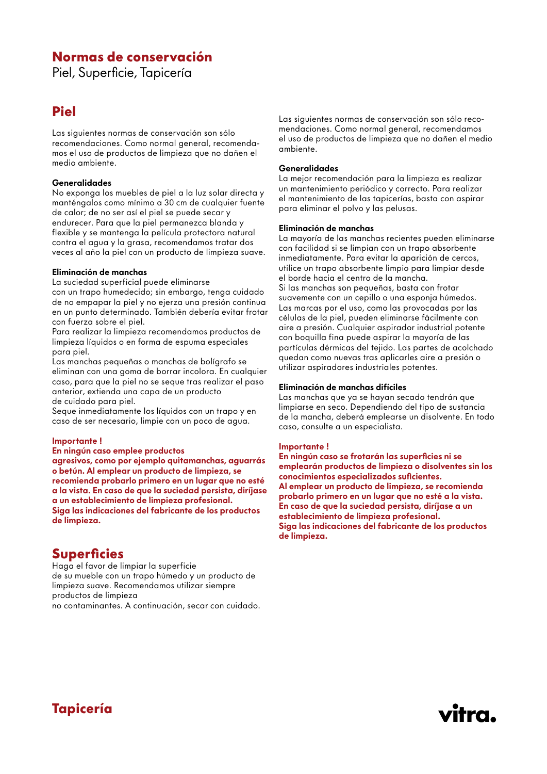### **Normas de conservación**

Piel, Superficie, Tapicería

# **Piel**

Las siguientes normas de conservación son sólo recomendaciones. Como normal general, recomendamos el uso de productos de limpieza que no dañen el medio ambiente.

#### Generalidades

No exponga los muebles de piel a la luz solar directa y manténgalos como mínimo a 30 cm de cualquier fuente de calor; de no ser así el piel se puede secar y endurecer. Para que la piel permanezca blanda y flexible y se mantenga la película protectora natural contra el agua y la grasa, recomendamos tratar dos veces al año la piel con un producto de limpieza suave.

#### Eliminación de manchas

La suciedad superficial puede eliminarse con un trapo humedecido; sin embargo, tenga cuidado de no empapar la piel y no ejerza una presión continua en un punto determinado. También debería evitar frotar con fuerza sobre el piel.

Para realizar la limpieza recomendamos productos de limpieza líquidos o en forma de espuma especiales para piel.

Las manchas pequeñas o manchas de bolígrafo se eliminan con una goma de borrar incolora. En cualquier caso, para que la piel no se seque tras realizar el paso anterior, extienda una capa de un producto de cuidado para piel.

Seque inmediatamente los líquidos con un trapo y en caso de ser necesario, limpie con un poco de agua.

#### Importante !

En ningún caso emplee productos agresivos, como por ejemplo quitamanchas, aguarrás o betún. Al emplear un producto de limpieza, se recomienda probarlo primero en un lugar que no esté a la vista. En caso de que la suciedad persista, diríjase a un establecimiento de limpieza profesional. Siga las indicaciones del fabricante de los productos de limpieza.

## **Superficies**

Haga el favor de limpiar la superficie de su mueble con un trapo húmedo y un producto de limpieza suave. Recomendamos utilizar siempre productos de limpieza

no contaminantes. A continuación, secar con cuidado.

Las siguientes normas de conservación son sólo recomendaciones. Como normal general, recomendamos el uso de productos de limpieza que no dañen el medio ambiente.

#### Generalidades

La mejor recomendación para la limpieza es realizar un mantenimiento periódico y correcto. Para realizar el mantenimiento de las tapicerías, basta con aspirar para eliminar el polvo y las pelusas.

#### Eliminación de manchas

La mayoría de las manchas recientes pueden eliminarse con facilidad si se limpian con un trapo absorbente inmediatamente. Para evitar la aparición de cercos, utilice un trapo absorbente limpio para limpiar desde el borde hacia el centro de la mancha. Si las manchas son pequeñas, basta con frotar suavemente con un cepillo o una esponja húmedos. Las marcas por el uso, como las provocadas por las células de la piel, pueden eliminarse fácilmente con aire a presión. Cualquier aspirador industrial potente con boquilla fina puede aspirar la mayoría de las partículas dérmicas del tejido. Las partes de acolchado quedan como nuevas tras aplicarles aire a presión o utilizar aspiradores industriales potentes.

#### Eliminación de manchas difíciles

Las manchas que ya se hayan secado tendrán que limpiarse en seco. Dependiendo del tipo de sustancia de la mancha, deberá emplearse un disolvente. En todo caso, consulte a un especialista.

#### Importante !

En ningún caso se frotarán las superficies ni se emplearán productos de limpieza o disolventes sin los conocimientos especializados suficientes. Al emplear un producto de limpieza, se recomienda probarlo primero en un lugar que no esté a la vista. En caso de que la suciedad persista, diríjase a un establecimiento de limpieza profesional. Siga las indicaciones del fabricante de los productos de limpieza.

vitra.

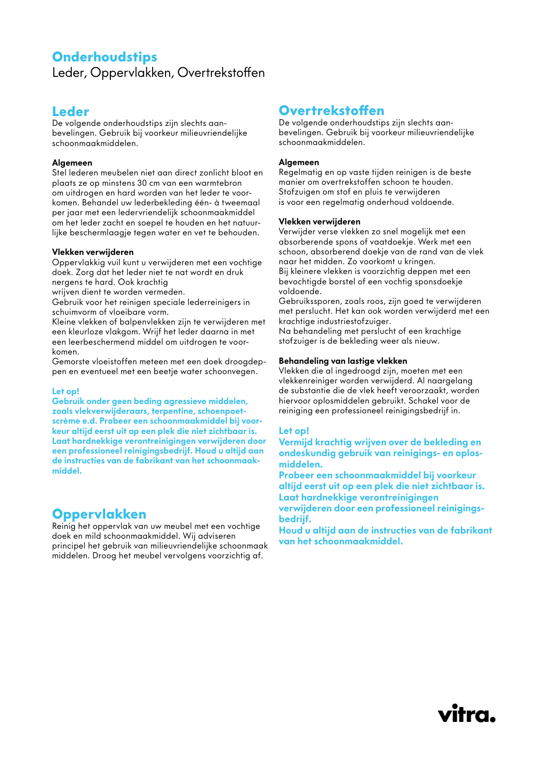### **Onderhoudstips** Leder, Oppervlakken, Overtrekstoffen

# **Leder**

De volgende onderhoudstips zijn slechts aanbevelingen. Gebruik bij voorkeur milieuvriendelijke schoonmaakmiddelen.

#### Algemeen

Stel lederen meubelen niet aan direct zonlicht bloot en plaats ze op minstens 30 cm van een warmtebron om uitdrogen en hard worden van het leder te voorkomen. Behandel uw lederbekleding één- à tweemaal per jaar met een ledervriendelijk schoonmaakmiddel om het leder zacht en soepel te houden en het natuurlijke beschermlaagje tegen water en vet te behouden.

#### Vlekken verwijderen

Oppervlakkig vuil kunt u verwijderen met een vochtige doek. Zorg dat het leder niet te nat wordt en druk nergens te hard. Ook krachtig

wrijven dient te worden vermeden.

Gebruik voor het reinigen speciale lederreinigers in schuimvorm of vloeibare vorm.

Kleine vlekken of balpenvlekken zijn te verwijderen met een kleurloze vlakgom. Wrijf het leder daarna in met een leerbeschermend middel om uitdrogen te voorkomen.

Gemorste vloeistoffen meteen met een doek droogdeppen en eventueel met een beetje water schoonvegen.

#### Let op!

Gebruik onder geen beding agressieve middelen, zoals vlekverwijderaars, terpentine, schoenpoetscrème e.d. Probeer een schoonmaakmiddel bij voorkeur altijd eerst uit op een plek die niet zichtbaar is. Laat hardnekkige verontreinigingen verwijderen door een professioneel reinigingsbedrijf. Houd u altijd aan de instructies van de fabrikant van het schoonmaakmiddel.

### **Oppervlakken**

Reinig het oppervlak van uw meubel met een vochtige doek en mild schoonmaakmiddel. Wij adviseren principel het gebruik van milieuvriendelijke schoonmaak middelen. Droog het meubel vervolgens voorzichtig af.

# **Overtrekstoffen**

De volgende onderhoudstips zijn slechts aanbevelingen. Gebruik bij voorkeur milieuvriendelijke schoonmaakmiddelen.

#### Algemeen

Regelmatig en op vaste tijden reinigen is de beste manier om overtrekstoffen schoon te houden. Stofzuigen om stof en pluis te verwijderen is voor een regelmatig onderhoud voldoende.

#### Vlekken verwijderen

Verwijder verse vlekken zo snel mogelijk met een absorberende spons of vaatdoekje. Werk met een schoon, absorberend doekje van de rand van de vlek naar het midden. Zo voorkomt u kringen. Bij kleinere vlekken is voorzichtig deppen met een bevochtigde borstel of een vochtig sponsdoekje voldoende.

Gebruikssporen, zoals roos, zijn goed te verwijderen met perslucht. Het kan ook worden verwijderd met een krachtige industriestofzuiger.

Na behandeling met perslucht of een krachtige stofzuiger is de bekleding weer als nieuw.

#### Behandeling van lastige vlekken

Vlekken die al ingedroogd zijn, moeten met een vlekkenreiniger worden verwijderd. Al naargelang de substantie die de vlek heeft veroorzaakt, worden hiervoor oplosmiddelen gebruikt. Schakel voor de reiniging een professioneel reinigingsbedrijf in.

#### Let op!

Vermijd krachtig wrijven over de bekleding en ondeskundig gebruik van reinigings- en oplosmiddelen.

Probeer een schoonmaakmiddel bij voorkeur altijd eerst uit op een plek die niet zichtbaar is. Laat hardnekkige verontreinigingen verwijderen door een professioneel reinigingsbedrijf.

Houd u altijd aan de instructies van de fabrikant van het schoonmaakmiddel.